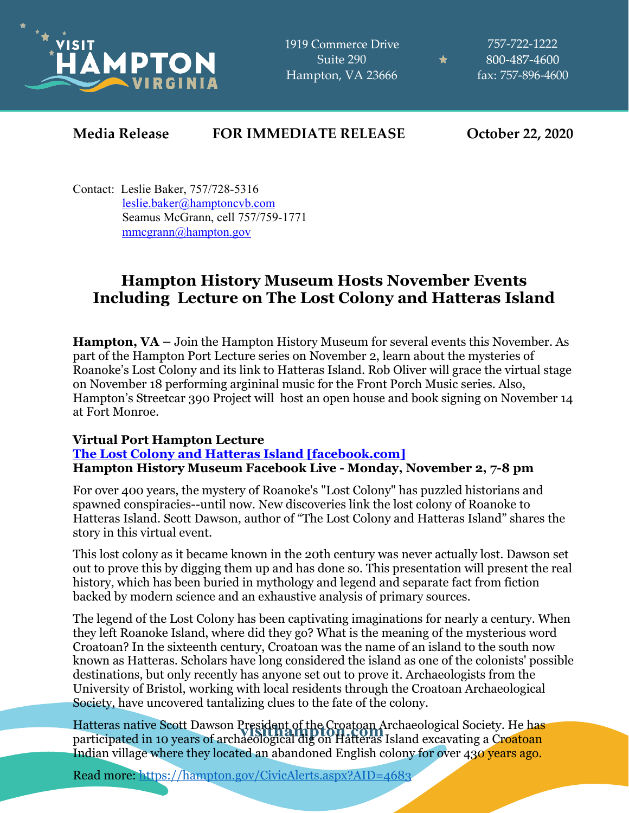

1919 Commerce Drive Suite 290 Hampton, VA 23666

757-722-1222 800-487-4600 fax: 757-896-4600

★

## **Media Release FOR IMMEDIATE RELEASE October 22, 2020**

Contact: Leslie Baker, 757/728-5316 [leslie.baker@hamptoncvb.com](mailto:leslie.baker@hamptoncvb.com) Seamus McGrann, cell 757/759-1771 [mmcgrann@hampton.gov](mailto:mmcgrann@hampton.gov)

# **Hampton History Museum Hosts November Events Including Lecture on The Lost Colony and Hatteras Island**

**Hampton, VA –** Join the Hampton History Museum for several events this November. As part of the Hampton Port Lecture series on November 2, learn about the mysteries of Roanoke's Lost Colony and its link to Hatteras Island. Rob Oliver will grace the virtual stage on November 18 performing argininal music for the Front Porch Music series. Also, Hampton's Streetcar 390 Project will host an open house and book signing on November 14 at Fort Monroe.

## **Virtual Port Hampton Lecture**

#### **[The Lost Colony and Hatteras Island \[facebook.com\]](https://urldefense.com/v3/__https:/www.facebook.com/events/749014302320935?acontext=*7B*22source*22*3A5*2C*22action_history*22*3A**A7B*22surface*22*3A*22page*22*2C*22mechanism*22*3A*22main_list*22*2C*22extra_data*22*3A*22*5C*22**B5C*22*22*7D**A2C*22has_source*22*3Atrue*7D__;JSUlJSUlJSVbJSUlJSUlJSUlJSUlJSUlJSUlJVtdJSUlJV0lJSUlJQ!!IZXYVuFH-bp8_Q!Ea_gK63oJBWfVOq8TISzd4ObtSZku5sSB66f9QVOoT9iTV10MfD-dsloPn6-iOyBBQ3yOQ$) Hampton History Museum Facebook Live - Monday, November 2, 7-8 pm**

For over 400 years, the mystery of Roanoke's "Lost Colony" has puzzled historians and spawned conspiracies--until now. New discoveries link the lost colony of Roanoke to Hatteras Island. Scott Dawson, author of "The Lost Colony and Hatteras Island" shares the story in this virtual event.

This lost colony as it became known in the 20th century was never actually lost. Dawson set out to prove this by digging them up and has done so. This presentation will present the real history, which has been buried in mythology and legend and separate fact from fiction backed by modern science and an exhaustive analysis of primary sources.

The legend of the Lost Colony has been captivating imaginations for nearly a century. When they left Roanoke Island, where did they go? What is the meaning of the mysterious word Croatoan? In the sixteenth century, Croatoan was the name of an island to the south now known as Hatteras. Scholars have long considered the island as one of the colonists' possible destinations, but only recently has anyone set out to prove it. Archaeologists from the University of Bristol, working with local residents through the Croatoan Archaeological Society, have uncovered tantalizing clues to the fate of the colony.

Hatteras native Scott Dawson President of the Croatoan Archaeological Society. He has participated in 10 years of archaeological dig on Hatteras Island excavating a Croatoan Indian village where they located an abandoned English colony for over 430 years ago.

Read more:<https://hampton.gov/CivicAlerts.aspx?AID=4683>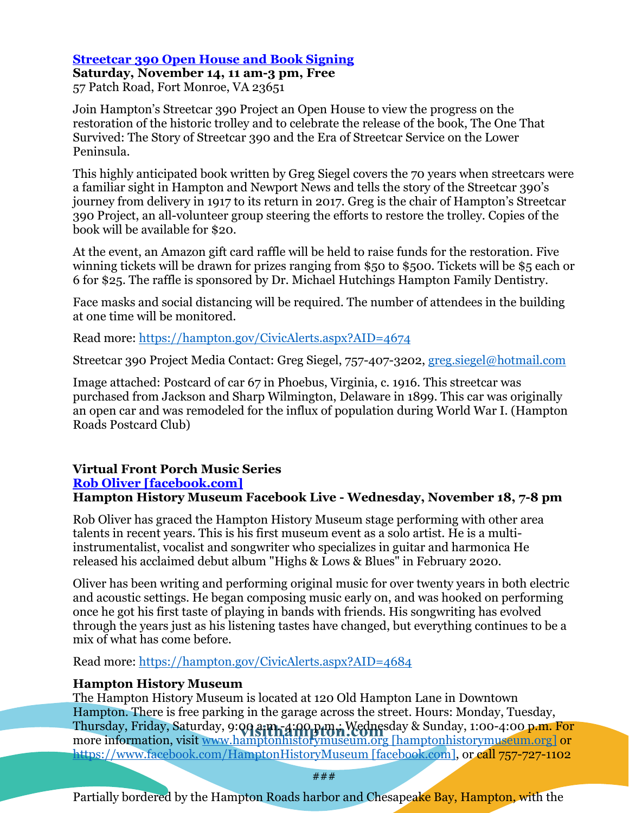### **[Streetcar 390 Open House and Book Signing](https://hampton.gov/CivicAlerts.aspx?AID=4674)**

**Saturday, November 14, 11 am-3 pm, Free** 57 Patch Road, Fort Monroe, VA 23651

Join Hampton's Streetcar 390 Project an Open House to view the progress on the restoration of the historic trolley and to celebrate the release of the book, The One That Survived: The Story of Streetcar 390 and the Era of Streetcar Service on the Lower Peninsula.

This highly anticipated book written by Greg Siegel covers the 70 years when streetcars were a familiar sight in Hampton and Newport News and tells the story of the Streetcar 390's journey from delivery in 1917 to its return in 2017. Greg is the chair of Hampton's Streetcar 390 Project, an all-volunteer group steering the efforts to restore the trolley. Copies of the book will be available for \$20.

At the event, an Amazon gift card raffle will be held to raise funds for the restoration. Five winning tickets will be drawn for prizes ranging from \$50 to \$500. Tickets will be \$5 each or 6 for \$25. The raffle is sponsored by Dr. Michael Hutchings Hampton Family Dentistry.

Face masks and social distancing will be required. The number of attendees in the building at one time will be monitored.

Read more:<https://hampton.gov/CivicAlerts.aspx?AID=4674>

Streetcar 390 Project Media Contact: Greg Siegel, 757-407-3202, [greg.siegel@hotmail.com](mailto:greg.siegel@hotmail.com)

Image attached: Postcard of car 67 in Phoebus, Virginia, c. 1916. This streetcar was purchased from Jackson and Sharp Wilmington, Delaware in 1899. This car was originally an open car and was remodeled for the influx of population during World War I. (Hampton Roads Postcard Club)

## **Virtual Front Porch Music Series**

#### **[Rob Oliver \[facebook.com\]](https://urldefense.com/v3/__https:/www.facebook.com/HamptonHistoryMuseum/live_videos__;!!IZXYVuFH-bp8_Q!Ea_gK63oJBWfVOq8TISzd4ObtSZku5sSB66f9QVOoT9iTV10MfD-dsloPn6-iOzO8xAzlg$)**

### **Hampton History Museum Facebook Live - Wednesday, November 18, 7-8 pm**

Rob Oliver has graced the Hampton History Museum stage performing with other area talents in recent years. This is his first museum event as a solo artist. He is a multiinstrumentalist, vocalist and songwriter who specializes in guitar and harmonica He released his acclaimed debut album "Highs & Lows & Blues" in February 2020.

Oliver has been writing and performing original music for over twenty years in both electric and acoustic settings. He began composing music early on, and was hooked on performing once he got his first taste of playing in bands with friends. His songwriting has evolved through the years just as his listening tastes have changed, but everything continues to be a mix of what has come before.

Read more:<https://hampton.gov/CivicAlerts.aspx?AID=4684>

### **Hampton History Museum**

The Hampton History Museum is located at 120 Old Hampton Lane in Downtown Hampton. There is free parking in the garage across the street. Hours: Monday, Tuesday, Thursday, Friday, Saturday, 9:**00 a.m.-4:00 p.m., Wedne**sday & Sunday, 1:00-4:00 p.m. For more information, visit [www.hamptonhistorymuseum.org](https://urldefense.com/v3/__http:/www.hamptonhistorymuseum.org__;!!IZXYVuFH-bp8_Q!Ea_gK63oJBWfVOq8TISzd4ObtSZku5sSB66f9QVOoT9iTV10MfD-dsloPn6-iOwXWgD8-Q$) [hamptonhistorymuseum.org] or [https://www.facebook.com/HamptonHistoryMuseum](https://urldefense.com/v3/__https:/www.facebook.com/HamptonHistoryMuseum__;!!IZXYVuFH-bp8_Q!Ea_gK63oJBWfVOq8TISzd4ObtSZku5sSB66f9QVOoT9iTV10MfD-dsloPn6-iOy1ij-6eA$) [facebook.com], or call 757-727-1102

###

Partially bordered by the Hampton Roads harbor and Chesapeake Bay, Hampton, with the